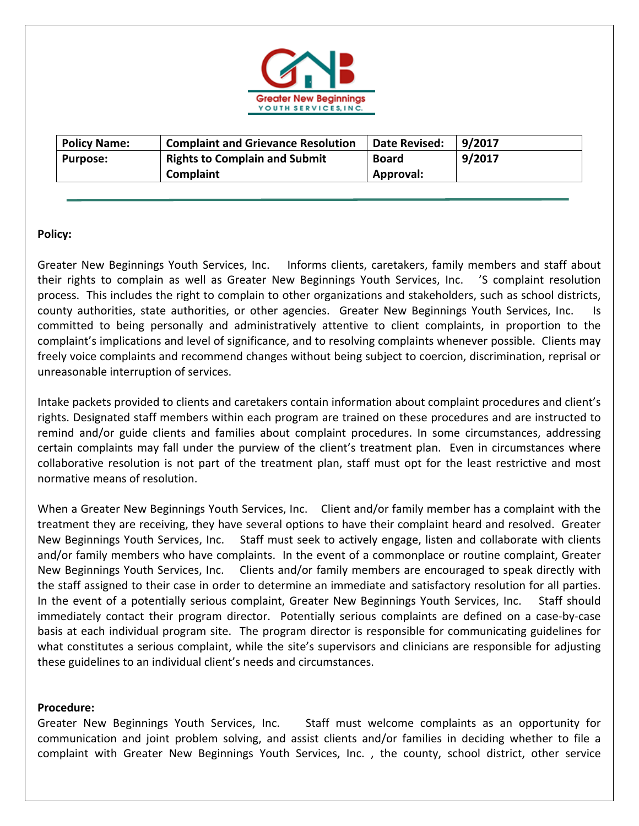

| <b>Policy Name:</b> | <b>Complaint and Grievance Resolution</b> | Date Revised: | 9/2017 |
|---------------------|-------------------------------------------|---------------|--------|
| <b>Purpose:</b>     | <b>Rights to Complain and Submit</b>      | <b>Board</b>  | 9/2017 |
|                     | <b>Complaint</b>                          | Approval:     |        |

## **Policy:**

Greater New Beginnings Youth Services, Inc. Informs clients, caretakers, family members and staff about their rights to complain as well as Greater New Beginnings Youth Services, Inc. 'S complaint resolution process. This includes the right to complain to other organizations and stakeholders, such as school districts, county authorities, state authorities, or other agencies. Greater New Beginnings Youth Services, Inc. Is committed to being personally and administratively attentive to client complaints, in proportion to the complaint's implications and level of significance, and to resolving complaints whenever possible. Clients may freely voice complaints and recommend changes without being subject to coercion, discrimination, reprisal or unreasonable interruption of services.

Intake packets provided to clients and caretakers contain information about complaint procedures and client's rights. Designated staff members within each program are trained on these procedures and are instructed to remind and/or guide clients and families about complaint procedures. In some circumstances, addressing certain complaints may fall under the purview of the client's treatment plan. Even in circumstances where collaborative resolution is not part of the treatment plan, staff must opt for the least restrictive and most normative means of resolution.

When a Greater New Beginnings Youth Services, Inc. Client and/or family member has a complaint with the treatment they are receiving, they have several options to have their complaint heard and resolved. Greater New Beginnings Youth Services, Inc. Staff must seek to actively engage, listen and collaborate with clients and/or family members who have complaints. In the event of a commonplace or routine complaint, Greater New Beginnings Youth Services, Inc. Clients and/or family members are encouraged to speak directly with the staff assigned to their case in order to determine an immediate and satisfactory resolution for all parties. In the event of a potentially serious complaint, Greater New Beginnings Youth Services, Inc. Staff should immediately contact their program director. Potentially serious complaints are defined on a case-by-case basis at each individual program site. The program director is responsible for communicating guidelines for what constitutes a serious complaint, while the site's supervisors and clinicians are responsible for adjusting these guidelines to an individual client's needs and circumstances.

## **Procedure:**

Greater New Beginnings Youth Services, Inc. Staff must welcome complaints as an opportunity for communication and joint problem solving, and assist clients and/or families in deciding whether to file a complaint with Greater New Beginnings Youth Services, Inc. , the county, school district, other service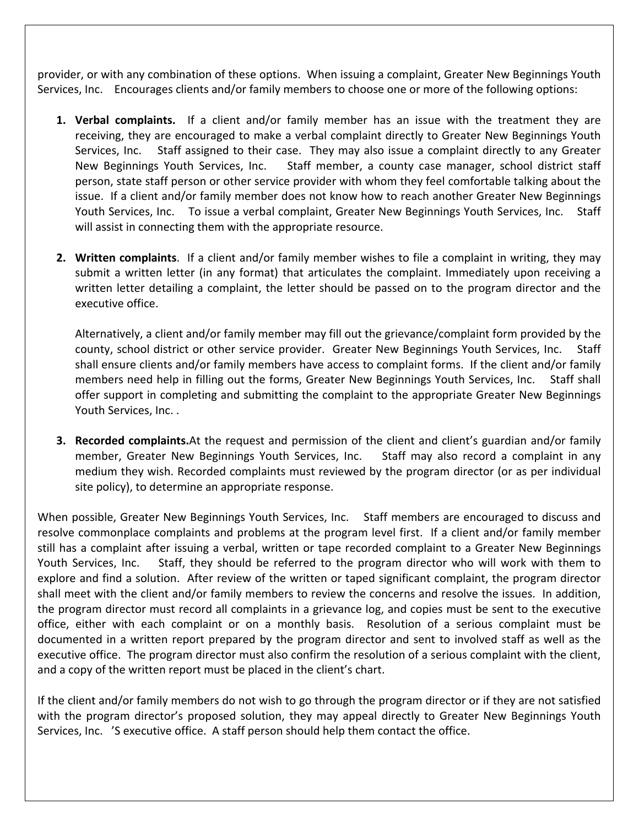provider, or with any combination of these options. When issuing a complaint, Greater New Beginnings Youth Services, Inc. Encourages clients and/or family members to choose one or more of the following options:

- **1. Verbal complaints.** If a client and/or family member has an issue with the treatment they are receiving, they are encouraged to make a verbal complaint directly to Greater New Beginnings Youth Services, Inc. Staff assigned to their case. They may also issue a complaint directly to any Greater New Beginnings Youth Services, Inc. Staff member, a county case manager, school district staff person, state staff person or other service provider with whom they feel comfortable talking about the issue. If a client and/or family member does not know how to reach another Greater New Beginnings Youth Services, Inc. To issue a verbal complaint, Greater New Beginnings Youth Services, Inc. Staff will assist in connecting them with the appropriate resource.
- **2. Written complaints**. If a client and/or family member wishes to file a complaint in writing, they may submit a written letter (in any format) that articulates the complaint. Immediately upon receiving a written letter detailing a complaint, the letter should be passed on to the program director and the executive office.

Alternatively, a client and/or family member may fill out the grievance/complaint form provided by the county, school district or other service provider. Greater New Beginnings Youth Services, Inc. Staff shall ensure clients and/or family members have access to complaint forms. If the client and/or family members need help in filling out the forms, Greater New Beginnings Youth Services, Inc. Staff shall offer support in completing and submitting the complaint to the appropriate Greater New Beginnings Youth Services, Inc. .

**3. Recorded complaints.**At the request and permission of the client and client's guardian and/or family member, Greater New Beginnings Youth Services, Inc. Staff may also record a complaint in any medium they wish. Recorded complaints must reviewed by the program director (or as per individual site policy), to determine an appropriate response.

When possible, Greater New Beginnings Youth Services, Inc. Staff members are encouraged to discuss and resolve commonplace complaints and problems at the program level first. If a client and/or family member still has a complaint after issuing a verbal, written or tape recorded complaint to a Greater New Beginnings Youth Services, Inc. Staff, they should be referred to the program director who will work with them to explore and find a solution. After review of the written or taped significant complaint, the program director shall meet with the client and/or family members to review the concerns and resolve the issues. In addition, the program director must record all complaints in a grievance log, and copies must be sent to the executive office, either with each complaint or on a monthly basis. Resolution of a serious complaint must be documented in a written report prepared by the program director and sent to involved staff as well as the executive office. The program director must also confirm the resolution of a serious complaint with the client, and a copy of the written report must be placed in the client's chart.

If the client and/or family members do not wish to go through the program director or if they are not satisfied with the program director's proposed solution, they may appeal directly to Greater New Beginnings Youth Services, Inc. 'S executive office. A staff person should help them contact the office.